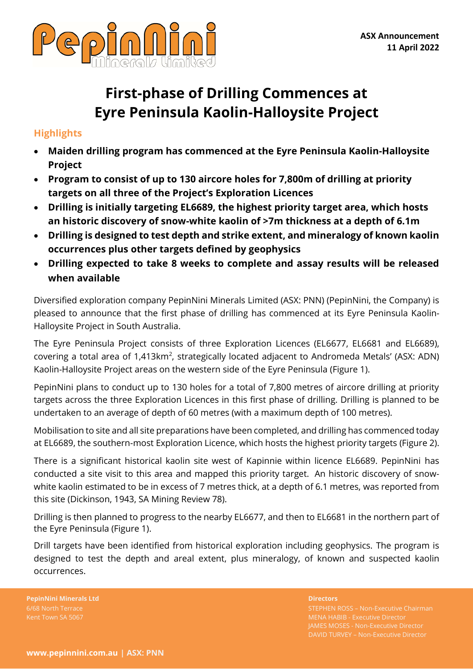

# **First-phase of Drilling Commences at Eyre Peninsula Kaolin-Halloysite Project**

# **Highlights**

- **Maiden drilling program has commenced at the Eyre Peninsula Kaolin-Halloysite Project**
- **Program to consist of up to 130 aircore holes for 7,800m of drilling at priority targets on all three of the Project's Exploration Licences**
- **Drilling is initially targeting EL6689, the highest priority target area, which hosts an historic discovery of snow-white kaolin of >7m thickness at a depth of 6.1m**
- **Drilling is designed to test depth and strike extent, and mineralogy of known kaolin occurrences plus other targets defined by geophysics**
- **Drilling expected to take 8 weeks to complete and assay results will be released when available**

Diversified exploration company PepinNini Minerals Limited (ASX: PNN) (PepinNini, the Company) is pleased to announce that the first phase of drilling has commenced at its Eyre Peninsula Kaolin-Halloysite Project in South Australia.

The Eyre Peninsula Project consists of three Exploration Licences (EL6677, EL6681 and EL6689), covering a total area of 1,413 $km^2$ , strategically located adjacent to Andromeda Metals' (ASX: ADN) Kaolin-Halloysite Project areas on the western side of the Eyre Peninsula (Figure 1).

PepinNini plans to conduct up to 130 holes for a total of 7,800 metres of aircore drilling at priority targets across the three Exploration Licences in this first phase of drilling. Drilling is planned to be undertaken to an average of depth of 60 metres (with a maximum depth of 100 metres).

Mobilisation to site and all site preparations have been completed, and drilling has commenced today at EL6689, the southern-most Exploration Licence, which hosts the highest priority targets (Figure 2).

There is a significant historical kaolin site west of Kapinnie within licence EL6689. PepinNini has conducted a site visit to this area and mapped this priority target. An historic discovery of snowwhite kaolin estimated to be in excess of 7 metres thick, at a depth of 6.1 metres, was reported from this site (Dickinson, 1943, SA Mining Review 78).

Drilling is then planned to progress to the nearby EL6677, and then to EL6681 in the northern part of the Eyre Peninsula (Figure 1).

Drill targets have been identified from historical exploration including geophysics. The program is designed to test the depth and areal extent, plus mineralogy, of known and suspected kaolin occurrences.

**PepinNini Minerals Ltd Directors** 6/68 North Terrace

STEPHEN ROSS – Non-Executive Chairman JAMES MOSES - Non-Executive Director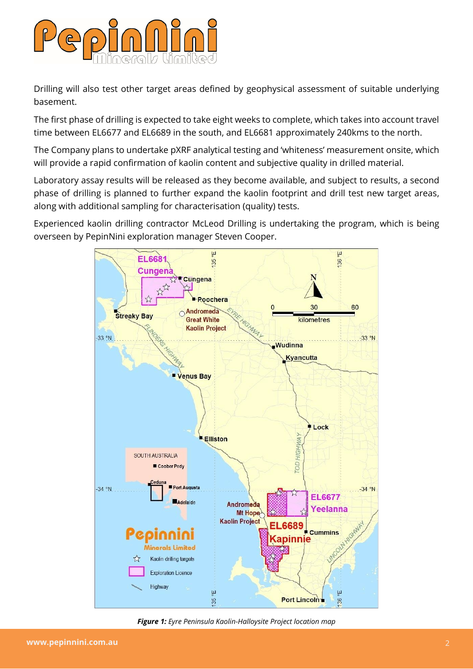

Drilling will also test other target areas defined by geophysical assessment of suitable underlying basement.

The first phase of drilling is expected to take eight weeks to complete, which takes into account travel time between EL6677 and EL6689 in the south, and EL6681 approximately 240kms to the north.

The Company plans to undertake pXRF analytical testing and 'whiteness' measurement onsite, which will provide a rapid confirmation of kaolin content and subjective quality in drilled material.

Laboratory assay results will be released as they become available, and subject to results, a second phase of drilling is planned to further expand the kaolin footprint and drill test new target areas, along with additional sampling for characterisation (quality) tests.

Experienced kaolin drilling contractor McLeod Drilling is undertaking the program, which is being overseen by PepinNini exploration manager Steven Cooper.



*Figure 1: Eyre Peninsula Kaolin-Halloysite Project location map*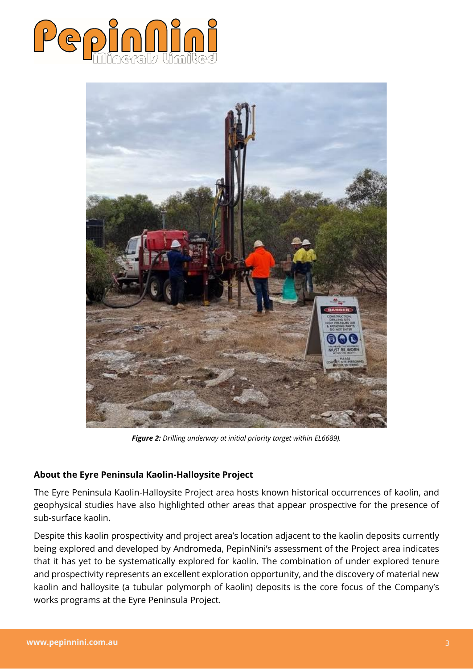



*Figure 2: Drilling underway at initial priority target within EL6689).*

### **About the Eyre Peninsula Kaolin-Halloysite Project**

The Eyre Peninsula Kaolin-Halloysite Project area hosts known historical occurrences of kaolin, and geophysical studies have also highlighted other areas that appear prospective for the presence of sub-surface kaolin.

Despite this kaolin prospectivity and project area's location adjacent to the kaolin deposits currently being explored and developed by Andromeda, PepinNini's assessment of the Project area indicates that it has yet to be systematically explored for kaolin. The combination of under explored tenure and prospectivity represents an excellent exploration opportunity, and the discovery of material new kaolin and halloysite (a tubular polymorph of kaolin) deposits is the core focus of the Company's works programs at the Eyre Peninsula Project.